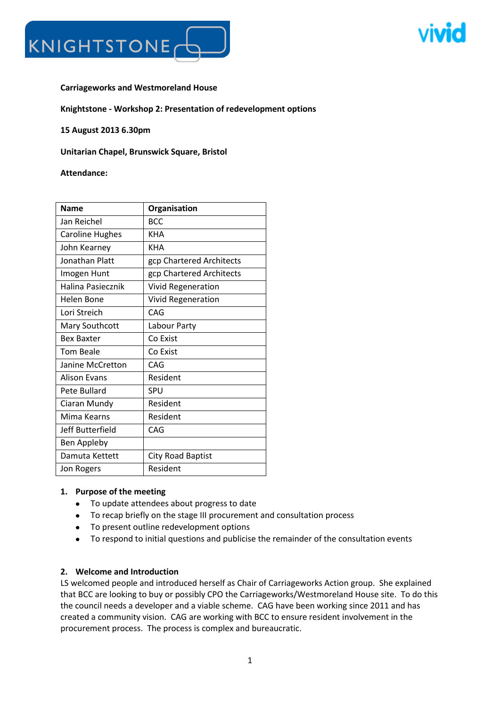

### **Carriageworks and Westmoreland House**

#### **Knightstone - Workshop 2: Presentation of redevelopment options**

**15 August 2013 6.30pm**

**Unitarian Chapel, Brunswick Square, Bristol**

#### **Attendance:**

| <b>Name</b>            | Organisation              |
|------------------------|---------------------------|
| Jan Reichel            | <b>BCC</b>                |
| <b>Caroline Hughes</b> | <b>KHA</b>                |
| John Kearney           | <b>KHA</b>                |
| <b>Jonathan Platt</b>  | gcp Chartered Architects  |
| Imogen Hunt            | gcp Chartered Architects  |
| Halina Pasiecznik      | <b>Vivid Regeneration</b> |
| <b>Helen Bone</b>      | <b>Vivid Regeneration</b> |
| Lori Streich           | CAG                       |
| Mary Southcott         | Labour Party              |
| <b>Bex Baxter</b>      | Co Exist                  |
| <b>Tom Beale</b>       | Co Exist                  |
| Janine McCretton       | CAG                       |
| <b>Alison Evans</b>    | Resident                  |
| Pete Bullard           | SPU                       |
| Ciaran Mundy           | Resident                  |
| Mima Kearns            | Resident                  |
| Jeff Butterfield       | CAG                       |
| Ben Appleby            |                           |
| Damuta Kettett         | <b>City Road Baptist</b>  |
| Jon Rogers             | Resident                  |

### **1. Purpose of the meeting**

- To update attendees about progress to date
- To recap briefly on the stage III procurement and consultation process
- To present outline redevelopment options
- To respond to initial questions and publicise the remainder of the consultation events

### **2. Welcome and Introduction**

LS welcomed people and introduced herself as Chair of Carriageworks Action group. She explained that BCC are looking to buy or possibly CPO the Carriageworks/Westmoreland House site. To do this the council needs a developer and a viable scheme. CAG have been working since 2011 and has created a community vision. CAG are working with BCC to ensure resident involvement in the procurement process. The process is complex and bureaucratic.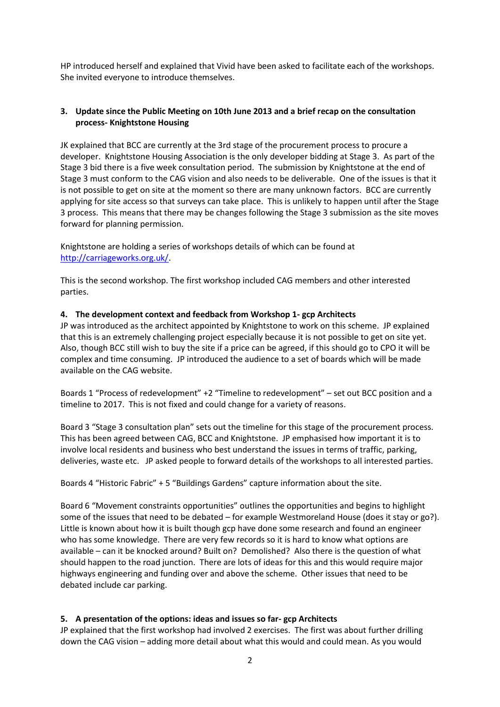HP introduced herself and explained that Vivid have been asked to facilitate each of the workshops. She invited everyone to introduce themselves.

## **3. Update since the Public Meeting on 10th June 2013 and a brief recap on the consultation process- Knightstone Housing**

JK explained that BCC are currently at the 3rd stage of the procurement process to procure a developer. Knightstone Housing Association is the only developer bidding at Stage 3. As part of the Stage 3 bid there is a five week consultation period. The submission by Knightstone at the end of Stage 3 must conform to the CAG vision and also needs to be deliverable. One of the issues is that it is not possible to get on site at the moment so there are many unknown factors. BCC are currently applying for site access so that surveys can take place. This is unlikely to happen until after the Stage 3 process. This means that there may be changes following the Stage 3 submission as the site moves forward for planning permission.

Knightstone are holding a series of workshops details of which can be found at [http://carriageworks.org.uk/.](http://carriageworks.org.uk/)

This is the second workshop. The first workshop included CAG members and other interested parties.

### **4. The development context and feedback from Workshop 1- gcp Architects**

JP was introduced as the architect appointed by Knightstone to work on this scheme. JP explained that this is an extremely challenging project especially because it is not possible to get on site yet. Also, though BCC still wish to buy the site if a price can be agreed, if this should go to CPO it will be complex and time consuming. JP introduced the audience to a set of boards which will be made available on the CAG website.

Boards 1 "Process of redevelopment" +2 "Timeline to redevelopment" – set out BCC position and a timeline to 2017. This is not fixed and could change for a variety of reasons.

Board 3 "Stage 3 consultation plan" sets out the timeline for this stage of the procurement process. This has been agreed between CAG, BCC and Knightstone. JP emphasised how important it is to involve local residents and business who best understand the issues in terms of traffic, parking, deliveries, waste etc. JP asked people to forward details of the workshops to all interested parties.

Boards 4 "Historic Fabric" + 5 "Buildings Gardens" capture information about the site.

Board 6 "Movement constraints opportunities" outlines the opportunities and begins to highlight some of the issues that need to be debated – for example Westmoreland House (does it stay or go?). Little is known about how it is built though gcp have done some research and found an engineer who has some knowledge. There are very few records so it is hard to know what options are available – can it be knocked around? Built on? Demolished? Also there is the question of what should happen to the road junction. There are lots of ideas for this and this would require major highways engineering and funding over and above the scheme. Other issues that need to be debated include car parking.

# **5. A presentation of the options: ideas and issues so far- gcp Architects**

JP explained that the first workshop had involved 2 exercises. The first was about further drilling down the CAG vision – adding more detail about what this would and could mean. As you would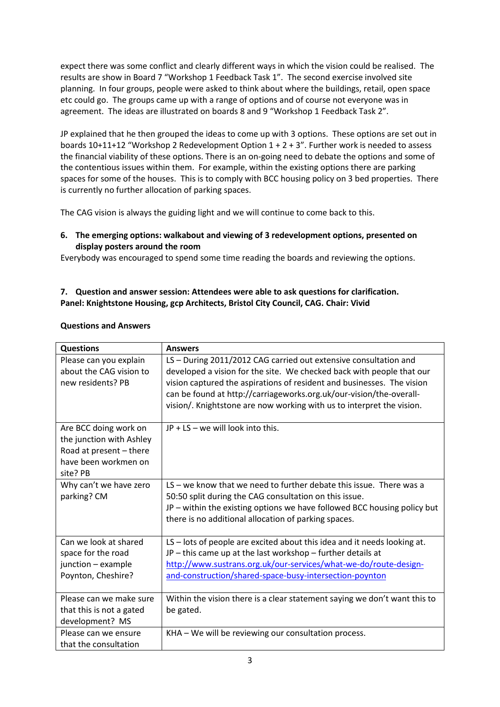expect there was some conflict and clearly different ways in which the vision could be realised. The results are show in Board 7 "Workshop 1 Feedback Task 1". The second exercise involved site planning. In four groups, people were asked to think about where the buildings, retail, open space etc could go. The groups came up with a range of options and of course not everyone was in agreement. The ideas are illustrated on boards 8 and 9 "Workshop 1 Feedback Task 2".

JP explained that he then grouped the ideas to come up with 3 options. These options are set out in boards  $10+11+12$  "Workshop 2 Redevelopment Option  $1 + 2 + 3$ ". Further work is needed to assess the financial viability of these options. There is an on-going need to debate the options and some of the contentious issues within them. For example, within the existing options there are parking spaces for some of the houses. This is to comply with BCC housing policy on 3 bed properties. There is currently no further allocation of parking spaces.

The CAG vision is always the guiding light and we will continue to come back to this.

## **6. The emerging options: walkabout and viewing of 3 redevelopment options, presented on display posters around the room**

Everybody was encouraged to spend some time reading the boards and reviewing the options.

# **7. Question and answer session: Attendees were able to ask questions for clarification. Panel: Knightstone Housing, gcp Architects, Bristol City Council, CAG. Chair: Vivid**

| <b>Questions</b>                                                                                                 | <b>Answers</b>                                                                                                                                                                                                                                                                                                                                                      |
|------------------------------------------------------------------------------------------------------------------|---------------------------------------------------------------------------------------------------------------------------------------------------------------------------------------------------------------------------------------------------------------------------------------------------------------------------------------------------------------------|
| Please can you explain<br>about the CAG vision to<br>new residents? PB                                           | LS - During 2011/2012 CAG carried out extensive consultation and<br>developed a vision for the site. We checked back with people that our<br>vision captured the aspirations of resident and businesses. The vision<br>can be found at http://carriageworks.org.uk/our-vision/the-overall-<br>vision/. Knightstone are now working with us to interpret the vision. |
| Are BCC doing work on<br>the junction with Ashley<br>Road at present - there<br>have been workmen on<br>site? PB | JP + LS - we will look into this.                                                                                                                                                                                                                                                                                                                                   |
| Why can't we have zero<br>parking? CM                                                                            | LS – we know that we need to further debate this issue. There was a<br>50:50 split during the CAG consultation on this issue.<br>JP - within the existing options we have followed BCC housing policy but<br>there is no additional allocation of parking spaces.                                                                                                   |
| Can we look at shared<br>space for the road<br>junction - example<br>Poynton, Cheshire?                          | $LS$ – lots of people are excited about this idea and it needs looking at.<br>$JP$ – this came up at the last workshop – further details at<br>http://www.sustrans.org.uk/our-services/what-we-do/route-design-<br>and-construction/shared-space-busy-intersection-poynton                                                                                          |
| Please can we make sure<br>that this is not a gated<br>development? MS                                           | Within the vision there is a clear statement saying we don't want this to<br>be gated.                                                                                                                                                                                                                                                                              |
| Please can we ensure<br>that the consultation                                                                    | KHA - We will be reviewing our consultation process.                                                                                                                                                                                                                                                                                                                |

#### **Questions and Answers**